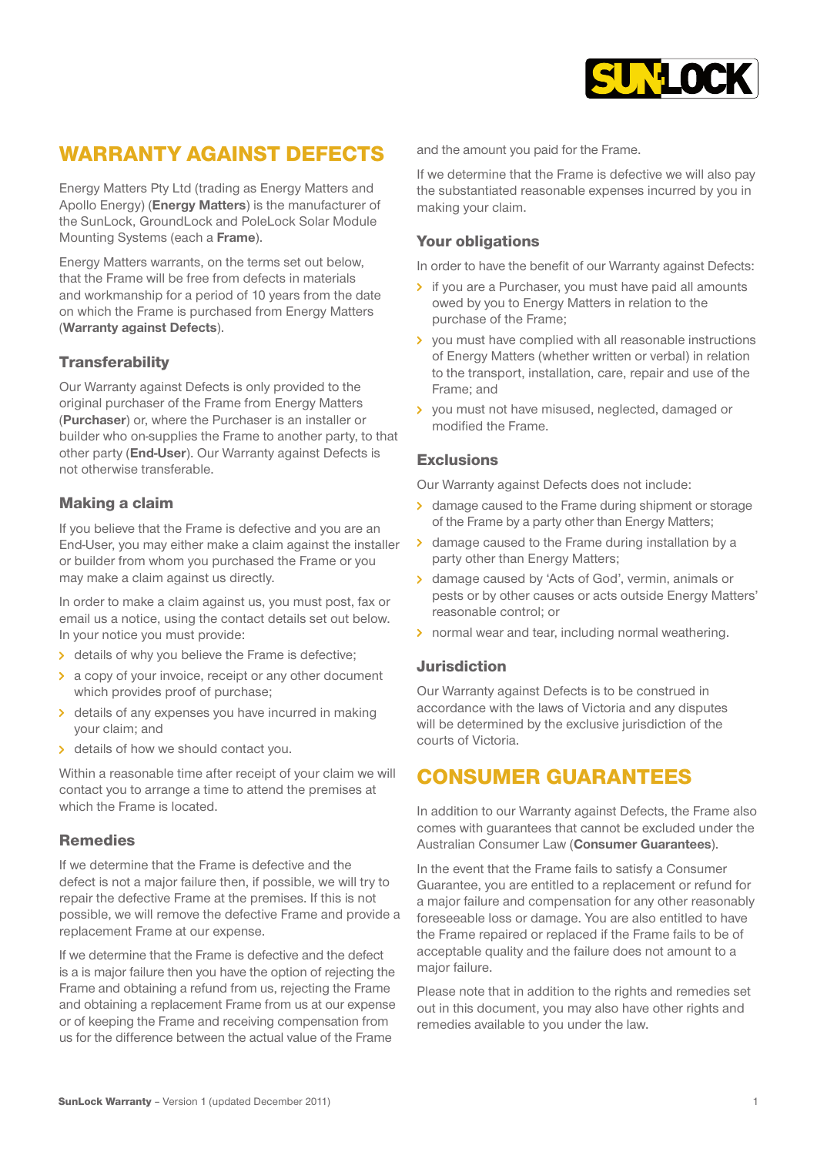

# WARRANTY AGAINST DEFECTS

Energy Matters Pty Ltd (trading as Energy Matters and Apollo Energy) (**Energy Matters**) is the manufacturer of the SunLock, GroundLock and PoleLock Solar Module Mounting Systems (each a **Frame**).

Energy Matters warrants, on the terms set out below, that the Frame will be free from defects in materials and workmanship for a period of 10 years from the date on which the Frame is purchased from Energy Matters (**Warranty against Defects**).

### **Transferability**

Our Warranty against Defects is only provided to the original purchaser of the Frame from Energy Matters (**Purchaser**) or, where the Purchaser is an installer or builder who on-supplies the Frame to another party, to that other party (**End-User**). Our Warranty against Defects is not otherwise transferable.

### Making a claim

If you believe that the Frame is defective and you are an End-User, you may either make a claim against [the installer](http://www.infiniteenergy.com.au/)  or builder from whom you purchased the Frame or you may make a claim against us directly.

In order to make a claim against us, you must post, fax or email us a notice, using the contact details set out below. In your notice you must provide:

- details of why you believe the Frame is defective;
- a copy of your invoice, receipt or any other document which provides proof of purchase;
- details of any expenses you have incurred in making your claim; and
- > details of how we should contact you.

Within a reasonable time after receipt of your claim we will contact you to arrange a time to attend the premises at which the Frame is located.

#### Remedies

If we determine that the Frame is defective and the defect is not a major failure then, if possible, we will try to repair the defective Frame at the premises. If this is not possible, we will remove the defective Frame and provide a replacement Frame at our expense.

If we determine that the Frame is defective and the defect is a is major failure then you have the option of rejecting the Frame and obtaining a refund from us, rejecting the Frame and obtaining a replacement Frame from us at our expense or of keeping the Frame and receiving compensation from us for the difference between the actual value of the Frame

and the amount you paid for the Frame.

If we determine that the Frame is defective we will also pay the substantiated reasonable expenses incurred by you in making your claim.

#### Your obligations

In order to have the benefit of our Warranty against Defects:

- If you are a Purchaser, you must have paid all amounts owed by you to [Energy Matters](http://www.infiniteenergy.com.au/commercial-solar-business/) in relation to the purchase of the Frame;
- > you must have complied with all reasonable instructions of Energy Matters (whether written or verbal) in relation to the transport, installation, care, repair and use of the Frame; and
- > you must not have misused, neglected, damaged or modified the Frame.

#### Exclusions

Our Warranty against Defects does not include:

- > damage caused to the Frame during shipment or storage of the Frame by a party other than Energy Matters;
- **b** damage caused to the Frame during installation by a party other than Energy Matters;
- > damage caused by 'Acts of God', vermin, animals or pests or by other causes or acts outside Energy Matters' reasonable control; or
- > normal wear and tear, including normal weathering.

#### Jurisdiction

Our Warranty against Defects is to be construed in accordance with the laws of Victoria and any disputes will be determined by the exclusive jurisdiction of the courts of Victoria.

### CONSUMER GUARANTEES

In addition to our Warranty against Defects, the Frame also comes with guarantees that cannot be excluded under the Australian Consumer Law (**Consumer Guarantees**).

In the event that the Frame fails to satisfy a Consumer Guarantee, you are entitled to a replacement or refund for a major failure and compensation for any other reasonably foreseeable loss or damage. You are also entitled to have the Frame repaired or replaced if the Frame fails to be of acceptable quality and the failure does not amount to a major failure.

Please note that in addition to the rights and remedies set out in this document, you may also have other rights and remedies available to you under the law.